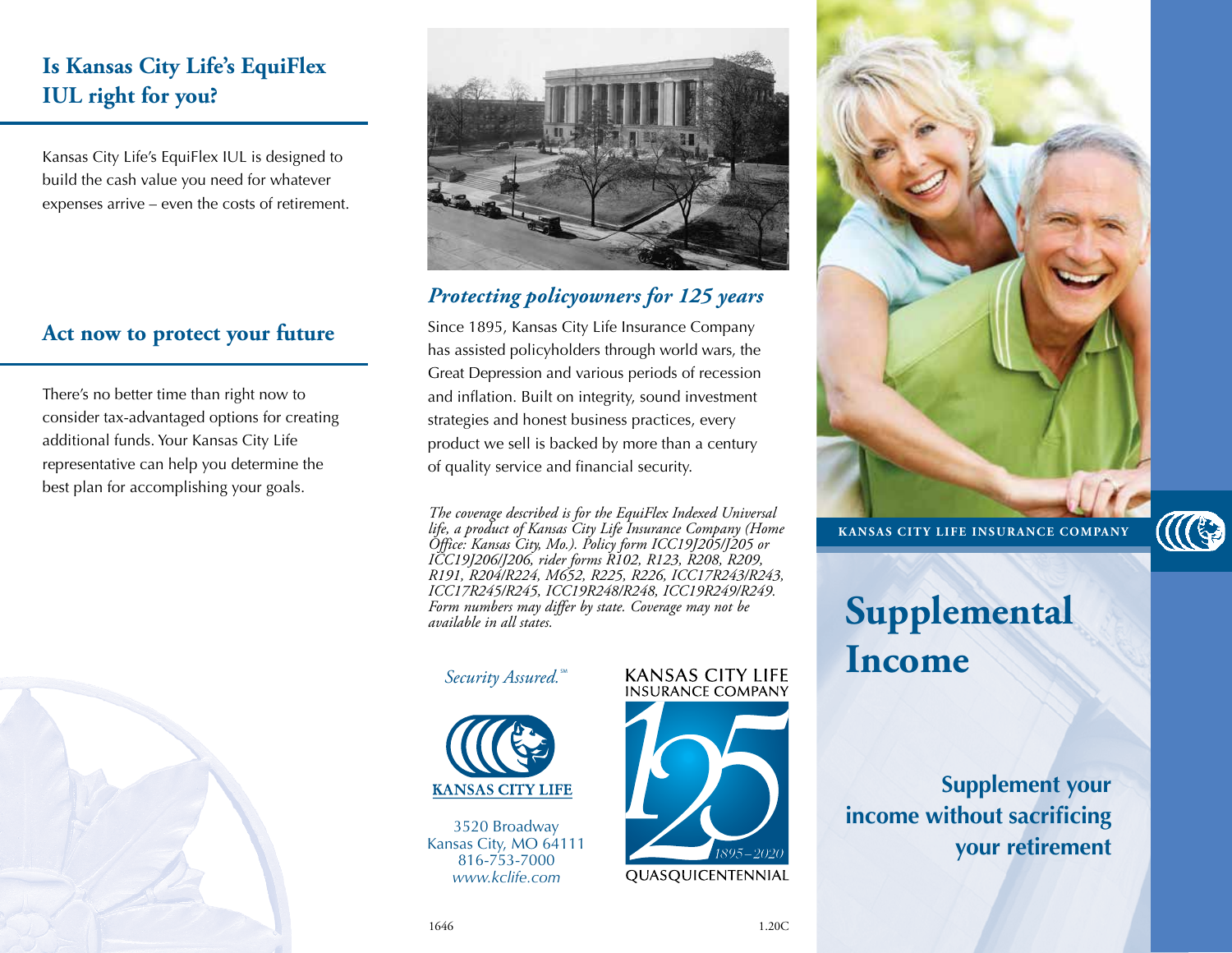## **Is Kansas City Life's EquiFlex IUL right for you?**

Kansas City Life's EquiFlex IUL is designed to build the cash value you need for whatever expenses arrive – even the costs of retirement.

#### **Act now to protect your future**

There's no better time than right now to consider tax-advantaged options for creating additional funds. Your Kansas City Life representative can help you determine the best plan for accomplishing your goals.





### *Protecting policyowners for 125 years*

**Life is a state of the ST**<br>Since 1895, Kansas City Life Insurance Company has assisted policyholders through world wars, the Great Depression and various periods of recession and inflation. Built on integrity, sound investment strategies and honest business practices, every product we sell is backed by more than a century of quality service and financial security.

*The coverage described is for the EquiFlex Indexed Universal ICC17R245/R245, ICC19R248/R248, ICC19R249/R249. life, a product of Kansas City Life Insurance Company (Home Form numbers may differ by state. Coverage may not be Office: Kansas City, Mo.). Policy form J189 or J190, rider available in all states.* The coverage described is for the EquiFlex Indexed Universal<br>he We'll be with you … We're Kansas City Life. *Office: Kansas City, Mo.). Policy form ICC19J205/J205 or life, a product of Kansas City Life Insurance Company (Home ICC19J206/J206, rider forms R102, R123, R208, R209, R191, R204/R224, M652, R225, R226, ICC17R243/R243,* 

# $Security$ *Assured.* **KANSAS**



816-753-7299 3520 Broadway Kansas City, MO 64111 816-753-7000 *www.kclife.com*

# **INSURANCE COMPANY**







# **Supplemental Income**

**Supplement your income without sacrificing your retirement**